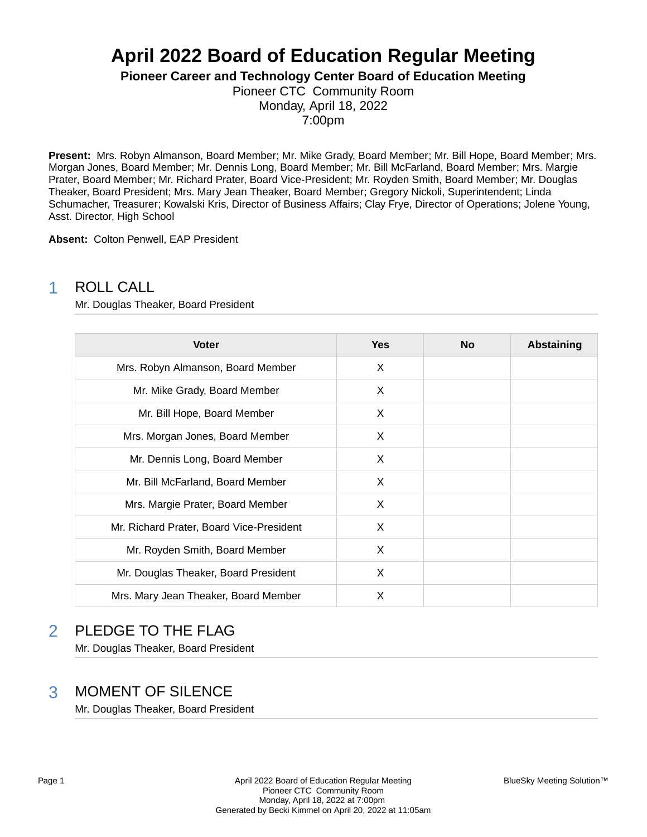# **April 2022 Board of Education Regular Meeting**

**Pioneer Career and Technology Center Board of Education Meeting**

Pioneer CTC Community Room Monday, April 18, 2022 7:00pm

**Present:** Mrs. Robyn Almanson, Board Member; Mr. Mike Grady, Board Member; Mr. Bill Hope, Board Member; Mrs. Morgan Jones, Board Member; Mr. Dennis Long, Board Member; Mr. Bill McFarland, Board Member; Mrs. Margie Prater, Board Member; Mr. Richard Prater, Board Vice-President; Mr. Royden Smith, Board Member; Mr. Douglas Theaker, Board President; Mrs. Mary Jean Theaker, Board Member; Gregory Nickoli, Superintendent; Linda Schumacher, Treasurer; Kowalski Kris, Director of Business Affairs; Clay Frye, Director of Operations; Jolene Young, Asst. Director, High School

**Absent:** Colton Penwell, EAP President

### 1 ROLL CALL

Mr. Douglas Theaker, Board President

| <b>Voter</b>                             | <b>Yes</b> | <b>No</b> | <b>Abstaining</b> |
|------------------------------------------|------------|-----------|-------------------|
| Mrs. Robyn Almanson, Board Member        | X          |           |                   |
| Mr. Mike Grady, Board Member             | X          |           |                   |
| Mr. Bill Hope, Board Member              | X          |           |                   |
| Mrs. Morgan Jones, Board Member          | X          |           |                   |
| Mr. Dennis Long, Board Member            | X          |           |                   |
| Mr. Bill McFarland, Board Member         | X          |           |                   |
| Mrs. Margie Prater, Board Member         | X          |           |                   |
| Mr. Richard Prater, Board Vice-President | X          |           |                   |
| Mr. Royden Smith, Board Member           | X          |           |                   |
| Mr. Douglas Theaker, Board President     | X          |           |                   |
| Mrs. Mary Jean Theaker, Board Member     | Х          |           |                   |

### 2 PLEDGE TO THE FLAG

Mr. Douglas Theaker, Board President

### 3 MOMENT OF SILENCE

Mr. Douglas Theaker, Board President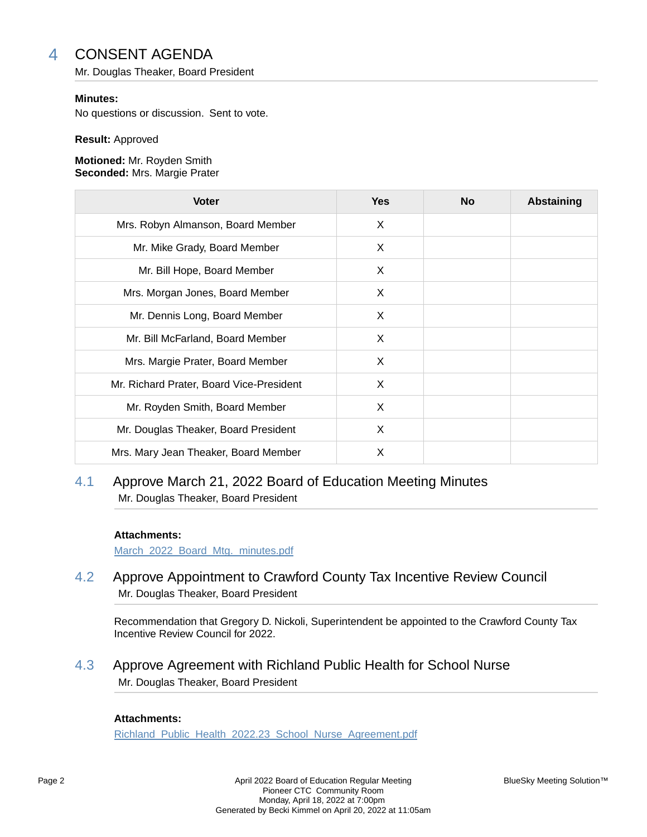# 4 CONSENT AGENDA

Mr. Douglas Theaker, Board President

### **Minutes:**

No questions or discussion. Sent to vote.

#### **Result:** Approved

#### **Motioned:** Mr. Royden Smith **Seconded:** Mrs. Margie Prater

| <b>Voter</b>                             | <b>Yes</b> | <b>No</b> | <b>Abstaining</b> |
|------------------------------------------|------------|-----------|-------------------|
| Mrs. Robyn Almanson, Board Member        | X          |           |                   |
| Mr. Mike Grady, Board Member             | X          |           |                   |
| Mr. Bill Hope, Board Member              | X          |           |                   |
| Mrs. Morgan Jones, Board Member          | X          |           |                   |
| Mr. Dennis Long, Board Member            | X          |           |                   |
| Mr. Bill McFarland, Board Member         | X          |           |                   |
| Mrs. Margie Prater, Board Member         | X          |           |                   |
| Mr. Richard Prater, Board Vice-President | X          |           |                   |
| Mr. Royden Smith, Board Member           | X          |           |                   |
| Mr. Douglas Theaker, Board President     | X          |           |                   |
| Mrs. Mary Jean Theaker, Board Member     | X          |           |                   |

### 4.1 Approve March 21, 2022 Board of Education Meeting Minutes Mr. Douglas Theaker, Board President

### **Attachments:**

March 2022 Board Mtg. minutes.pdf

4.2 Approve Appointment to Crawford County Tax Incentive Review Council Mr. Douglas Theaker, Board President

Recommendation that Gregory D. Nickoli, Superintendent be appointed to the Crawford County Tax Incentive Review Council for 2022.

4.3 Approve Agreement with Richland Public Health for School Nurse Mr. Douglas Theaker, Board President

### **Attachments:**

Richland\_Public\_Health\_2022.23\_School\_Nurse\_Agreement.pdf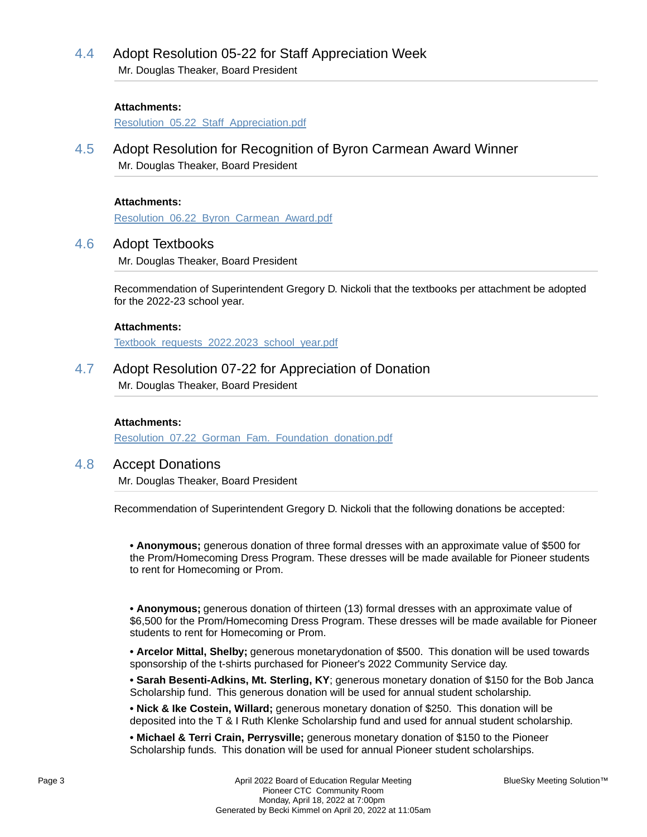# 4.4 Adopt Resolution 05-22 for Staff Appreciation Week

Mr. Douglas Theaker, Board President

### **Attachments:**

Resolution 05.22 Staff Appreciation.pdf

4.5 Adopt Resolution for Recognition of Byron Carmean Award Winner Mr. Douglas Theaker, Board President

### **Attachments:**

Resolution\_06.22\_Byron\_Carmean\_Award.pdf

### 4.6 Adopt Textbooks

Mr. Douglas Theaker, Board President

Recommendation of Superintendent Gregory D. Nickoli that the textbooks per attachment be adopted for the 2022-23 school year.

### **Attachments:**

Textbook\_requests\_2022.2023\_school\_year.pdf

4.7 Adopt Resolution 07-22 for Appreciation of Donation

Mr. Douglas Theaker, Board President

### **Attachments:**

Resolution 07.22 Gorman Fam. Foundation donation.pdf

### 4.8 Accept Donations

Mr. Douglas Theaker, Board President

Recommendation of Superintendent Gregory D. Nickoli that the following donations be accepted:

**• Anonymous;** generous donation of three formal dresses with an approximate value of \$500 for the Prom/Homecoming Dress Program. These dresses will be made available for Pioneer students to rent for Homecoming or Prom.

**• Anonymous;** generous donation of thirteen (13) formal dresses with an approximate value of \$6,500 for the Prom/Homecoming Dress Program. These dresses will be made available for Pioneer students to rent for Homecoming or Prom.

**• Arcelor Mittal, Shelby;** generous monetarydonation of \$500. This donation will be used towards sponsorship of the t-shirts purchased for Pioneer's 2022 Community Service day.

**• Sarah Besenti-Adkins, Mt. Sterling, KY**; generous monetary donation of \$150 for the Bob Janca Scholarship fund. This generous donation will be used for annual student scholarship.

**• Nick & Ike Costein, Willard;** generous monetary donation of \$250. This donation will be deposited into the T & I Ruth Klenke Scholarship fund and used for annual student scholarship.

**• Michael & Terri Crain, Perrysville;** generous monetary donation of \$150 to the Pioneer Scholarship funds. This donation will be used for annual Pioneer student scholarships.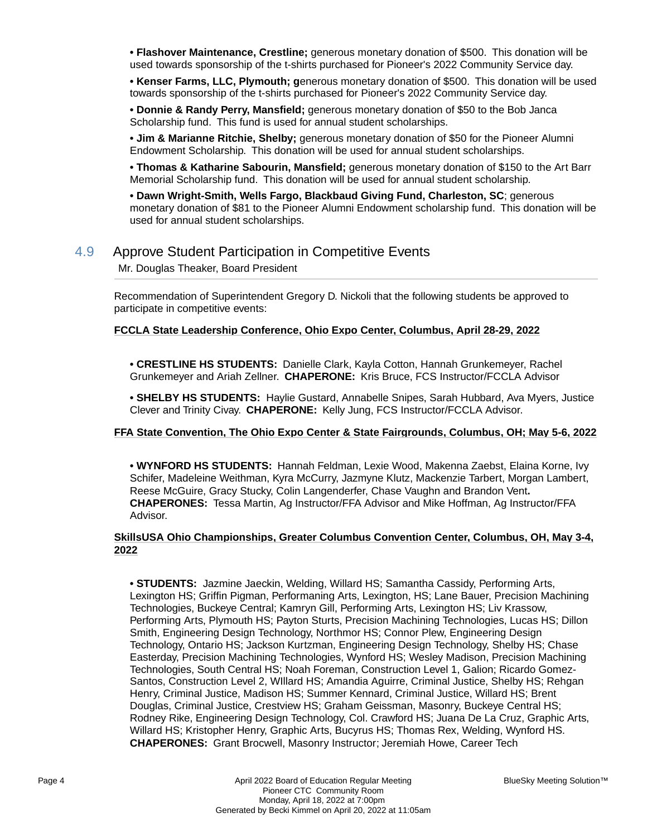**• Flashover Maintenance, Crestline;** generous monetary donation of \$500. This donation will be used towards sponsorship of the t-shirts purchased for Pioneer's 2022 Community Service day.

**• Kenser Farms, LLC, Plymouth; g**enerous monetary donation of \$500. This donation will be used towards sponsorship of the t-shirts purchased for Pioneer's 2022 Community Service day.

**• Donnie & Randy Perry, Mansfield;** generous monetary donation of \$50 to the Bob Janca Scholarship fund. This fund is used for annual student scholarships.

**• Jim & Marianne Ritchie, Shelby;** generous monetary donation of \$50 for the Pioneer Alumni Endowment Scholarship. This donation will be used for annual student scholarships.

**• Thomas & Katharine Sabourin, Mansfield;** generous monetary donation of \$150 to the Art Barr Memorial Scholarship fund. This donation will be used for annual student scholarship.

**• Dawn Wright-Smith, Wells Fargo, Blackbaud Giving Fund, Charleston, SC**; generous monetary donation of \$81 to the Pioneer Alumni Endowment scholarship fund. This donation will be used for annual student scholarships.

### 4.9 Approve Student Participation in Competitive Events

Mr. Douglas Theaker, Board President

Recommendation of Superintendent Gregory D. Nickoli that the following students be approved to participate in competitive events:

### **FCCLA State Leadership Conference, Ohio Expo Center, Columbus, April 28-29, 2022**

**• CRESTLINE HS STUDENTS:** Danielle Clark, Kayla Cotton, Hannah Grunkemeyer, Rachel Grunkemeyer and Ariah Zellner. **CHAPERONE:** Kris Bruce, FCS Instructor/FCCLA Advisor

**• SHELBY HS STUDENTS:** Haylie Gustard, Annabelle Snipes, Sarah Hubbard, Ava Myers, Justice Clever and Trinity Civay. **CHAPERONE:** Kelly Jung, FCS Instructor/FCCLA Advisor.

### **FFA State Convention, The Ohio Expo Center & State Fairgrounds, Columbus, OH; May 5-6, 2022**

**• WYNFORD HS STUDENTS:** Hannah Feldman, Lexie Wood, Makenna Zaebst, Elaina Korne, Ivy Schifer, Madeleine Weithman, Kyra McCurry, Jazmyne Klutz, Mackenzie Tarbert, Morgan Lambert, Reese McGuire, Gracy Stucky, Colin Langenderfer, Chase Vaughn and Brandon Vent**. CHAPERONES:** Tessa Martin, Ag Instructor/FFA Advisor and Mike Hoffman, Ag Instructor/FFA Advisor.

### **SkillsUSA Ohio Championships, Greater Columbus Convention Center, Columbus, OH, May 3-4, 2022**

**• STUDENTS:** Jazmine Jaeckin, Welding, Willard HS; Samantha Cassidy, Performing Arts, Lexington HS; Griffin Pigman, Performaning Arts, Lexington, HS; Lane Bauer, Precision Machining Technologies, Buckeye Central; Kamryn Gill, Performing Arts, Lexington HS; Liv Krassow, Performing Arts, Plymouth HS; Payton Sturts, Precision Machining Technologies, Lucas HS; Dillon Smith, Engineering Design Technology, Northmor HS; Connor Plew, Engineering Design Technology, Ontario HS; Jackson Kurtzman, Engineering Design Technology, Shelby HS; Chase Easterday, Precision Machining Technologies, Wynford HS; Wesley Madison, Precision Machining Technologies, South Central HS; Noah Foreman, Construction Level 1, Galion; Ricardo Gomez-Santos, Construction Level 2, WIllard HS; Amandia Aguirre, Criminal Justice, Shelby HS; Rehgan Henry, Criminal Justice, Madison HS; Summer Kennard, Criminal Justice, Willard HS; Brent Douglas, Criminal Justice, Crestview HS; Graham Geissman, Masonry, Buckeye Central HS; Rodney Rike, Engineering Design Technology, Col. Crawford HS; Juana De La Cruz, Graphic Arts, Willard HS; Kristopher Henry, Graphic Arts, Bucyrus HS; Thomas Rex, Welding, Wynford HS. **CHAPERONES:** Grant Brocwell, Masonry Instructor; Jeremiah Howe, Career Tech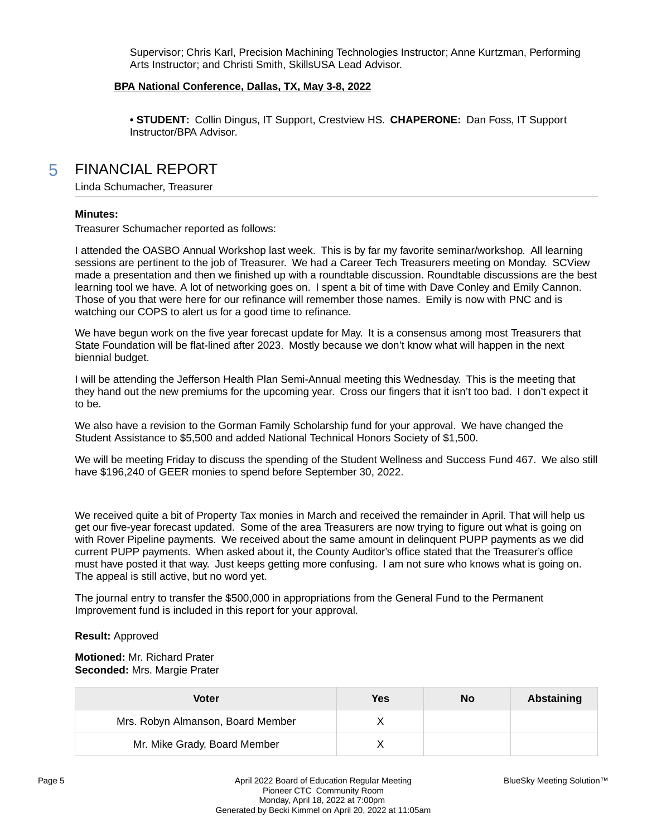Supervisor; Chris Karl, Precision Machining Technologies Instructor; Anne Kurtzman, Performing Arts Instructor; and Christi Smith, SkillsUSA Lead Advisor.

### **BPA National Conference, Dallas, TX, May 3-8, 2022**

**• STUDENT:** Collin Dingus, IT Support, Crestview HS. **CHAPERONE:** Dan Foss, IT Support Instructor/BPA Advisor.

### 5 FINANCIAL REPORT

Linda Schumacher, Treasurer

#### **Minutes:**

Treasurer Schumacher reported as follows:

I attended the OASBO Annual Workshop last week. This is by far my favorite seminar/workshop. All learning sessions are pertinent to the job of Treasurer. We had a Career Tech Treasurers meeting on Monday. SCView made a presentation and then we finished up with a roundtable discussion. Roundtable discussions are the best learning tool we have. A lot of networking goes on. I spent a bit of time with Dave Conley and Emily Cannon. Those of you that were here for our refinance will remember those names. Emily is now with PNC and is watching our COPS to alert us for a good time to refinance.

We have begun work on the five year forecast update for May. It is a consensus among most Treasurers that State Foundation will be flat-lined after 2023. Mostly because we don't know what will happen in the next biennial budget.

I will be attending the Jefferson Health Plan Semi-Annual meeting this Wednesday. This is the meeting that they hand out the new premiums for the upcoming year. Cross our fingers that it isn't too bad. I don't expect it to be.

We also have a revision to the Gorman Family Scholarship fund for your approval. We have changed the Student Assistance to \$5,500 and added National Technical Honors Society of \$1,500.

We will be meeting Friday to discuss the spending of the Student Wellness and Success Fund 467. We also still have \$196,240 of GEER monies to spend before September 30, 2022.

We received quite a bit of Property Tax monies in March and received the remainder in April. That will help us get our five-year forecast updated. Some of the area Treasurers are now trying to figure out what is going on with Rover Pipeline payments. We received about the same amount in delinquent PUPP payments as we did current PUPP payments. When asked about it, the County Auditor's office stated that the Treasurer's office must have posted it that way. Just keeps getting more confusing. I am not sure who knows what is going on. The appeal is still active, but no word yet.

The journal entry to transfer the \$500,000 in appropriations from the General Fund to the Permanent Improvement fund is included in this report for your approval.

#### **Result:** Approved

**Motioned:** Mr. Richard Prater **Seconded:** Mrs. Margie Prater

| Voter                             | Yes | No | Abstaining |
|-----------------------------------|-----|----|------------|
| Mrs. Robyn Almanson, Board Member |     |    |            |
| Mr. Mike Grady, Board Member      |     |    |            |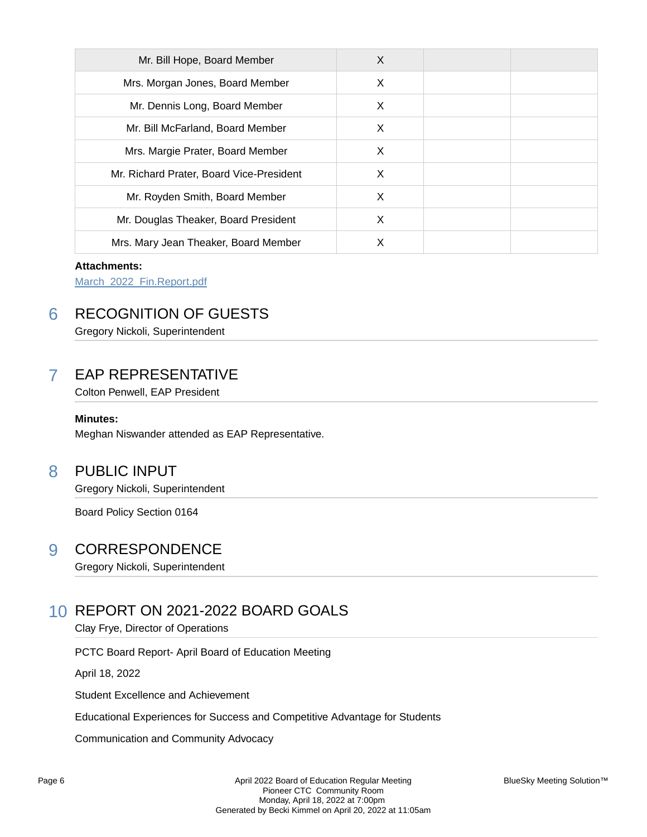| Mr. Bill Hope, Board Member              | X |  |
|------------------------------------------|---|--|
| Mrs. Morgan Jones, Board Member          | X |  |
| Mr. Dennis Long, Board Member            | X |  |
| Mr. Bill McFarland, Board Member         | X |  |
| Mrs. Margie Prater, Board Member         | X |  |
| Mr. Richard Prater, Board Vice-President | X |  |
| Mr. Royden Smith, Board Member           | X |  |
| Mr. Douglas Theaker, Board President     | X |  |
| Mrs. Mary Jean Theaker, Board Member     | Χ |  |

### **Attachments:**

March\_2022\_Fin.Report.pdf

# 6 RECOGNITION OF GUESTS

Gregory Nickoli, Superintendent

# 7 EAP REPRESENTATIVE

Colton Penwell, EAP President

### **Minutes:**

Meghan Niswander attended as EAP Representative.

## 8 PUBLIC INPUT

Gregory Nickoli, Superintendent

Board Policy Section 0164

### 9 CORRESPONDENCE

Gregory Nickoli, Superintendent

# 10 REPORT ON 2021-2022 BOARD GOALS

Clay Frye, Director of Operations

PCTC Board Report- April Board of Education Meeting

April 18, 2022

Student Excellence and Achievement

Educational Experiences for Success and Competitive Advantage for Students

Communication and Community Advocacy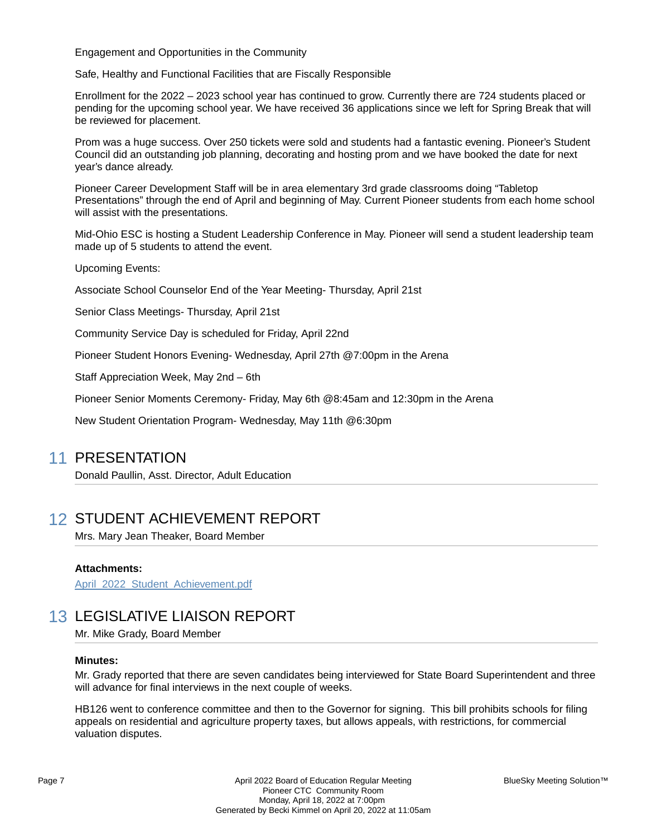Engagement and Opportunities in the Community

Safe, Healthy and Functional Facilities that are Fiscally Responsible

Enrollment for the 2022 – 2023 school year has continued to grow. Currently there are 724 students placed or pending for the upcoming school year. We have received 36 applications since we left for Spring Break that will be reviewed for placement.

Prom was a huge success. Over 250 tickets were sold and students had a fantastic evening. Pioneer's Student Council did an outstanding job planning, decorating and hosting prom and we have booked the date for next year's dance already.

Pioneer Career Development Staff will be in area elementary 3rd grade classrooms doing "Tabletop Presentations" through the end of April and beginning of May. Current Pioneer students from each home school will assist with the presentations.

Mid-Ohio ESC is hosting a Student Leadership Conference in May. Pioneer will send a student leadership team made up of 5 students to attend the event.

Upcoming Events:

Associate School Counselor End of the Year Meeting- Thursday, April 21st

Senior Class Meetings- Thursday, April 21st

Community Service Day is scheduled for Friday, April 22nd

Pioneer Student Honors Evening- Wednesday, April 27th @7:00pm in the Arena

Staff Appreciation Week, May 2nd – 6th

Pioneer Senior Moments Ceremony- Friday, May 6th @8:45am and 12:30pm in the Arena

New Student Orientation Program- Wednesday, May 11th @6:30pm

### 11 PRESENTATION

Donald Paullin, Asst. Director, Adult Education

### 12 STUDENT ACHIEVEMENT REPORT

Mrs. Mary Jean Theaker, Board Member

### **Attachments:**

April 2022 Student Achievement.pdf

### 13 LEGISLATIVE LIAISON REPORT

Mr. Mike Grady, Board Member

#### **Minutes:**

Mr. Grady reported that there are seven candidates being interviewed for State Board Superintendent and three will advance for final interviews in the next couple of weeks.

HB126 went to conference committee and then to the Governor for signing. This bill prohibits schools for filing appeals on residential and agriculture property taxes, but allows appeals, with restrictions, for commercial valuation disputes.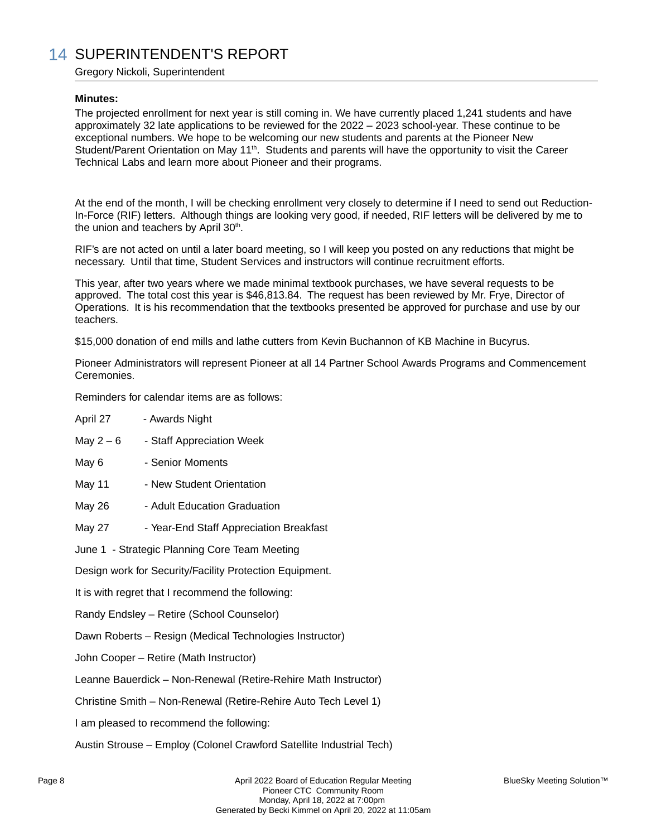# 14 SUPERINTENDENT'S REPORT

Gregory Nickoli, Superintendent

### **Minutes:**

The projected enrollment for next year is still coming in. We have currently placed 1,241 students and have approximately 32 late applications to be reviewed for the 2022 – 2023 school-year. These continue to be exceptional numbers. We hope to be welcoming our new students and parents at the Pioneer New Student/Parent Orientation on May 11<sup>th</sup>. Students and parents will have the opportunity to visit the Career Technical Labs and learn more about Pioneer and their programs.

At the end of the month, I will be checking enrollment very closely to determine if I need to send out Reduction-In-Force (RIF) letters. Although things are looking very good, if needed, RIF letters will be delivered by me to the union and teachers by April 30<sup>th</sup>.

RIF's are not acted on until a later board meeting, so I will keep you posted on any reductions that might be necessary. Until that time, Student Services and instructors will continue recruitment efforts.

This year, after two years where we made minimal textbook purchases, we have several requests to be approved. The total cost this year is \$46,813.84. The request has been reviewed by Mr. Frye, Director of Operations. It is his recommendation that the textbooks presented be approved for purchase and use by our teachers.

\$15,000 donation of end mills and lathe cutters from Kevin Buchannon of KB Machine in Bucyrus.

Pioneer Administrators will represent Pioneer at all 14 Partner School Awards Programs and Commencement **Ceremonies** 

Reminders for calendar items are as follows:

| April 27                                                        | - Awards Night                                                 |  |  |  |  |
|-----------------------------------------------------------------|----------------------------------------------------------------|--|--|--|--|
| May $2-6$                                                       | - Staff Appreciation Week                                      |  |  |  |  |
| May 6                                                           | - Senior Moments                                               |  |  |  |  |
| May 11                                                          | - New Student Orientation                                      |  |  |  |  |
| May 26                                                          | - Adult Education Graduation                                   |  |  |  |  |
| <b>May 27</b>                                                   | - Year-End Staff Appreciation Breakfast                        |  |  |  |  |
|                                                                 | June 1 - Strategic Planning Core Team Meeting                  |  |  |  |  |
| Design work for Security/Facility Protection Equipment.         |                                                                |  |  |  |  |
| It is with regret that I recommend the following:               |                                                                |  |  |  |  |
|                                                                 | Randy Endsley - Retire (School Counselor)                      |  |  |  |  |
|                                                                 | Dawn Roberts - Resign (Medical Technologies Instructor)        |  |  |  |  |
|                                                                 | John Cooper - Retire (Math Instructor)                         |  |  |  |  |
|                                                                 | Leanne Bauerdick - Non-Renewal (Retire-Rehire Math Instructor) |  |  |  |  |
| Christine Smith - Non-Renewal (Retire-Rehire Auto Tech Level 1) |                                                                |  |  |  |  |
|                                                                 | I am pleased to recommend the following:                       |  |  |  |  |

Austin Strouse – Employ (Colonel Crawford Satellite Industrial Tech)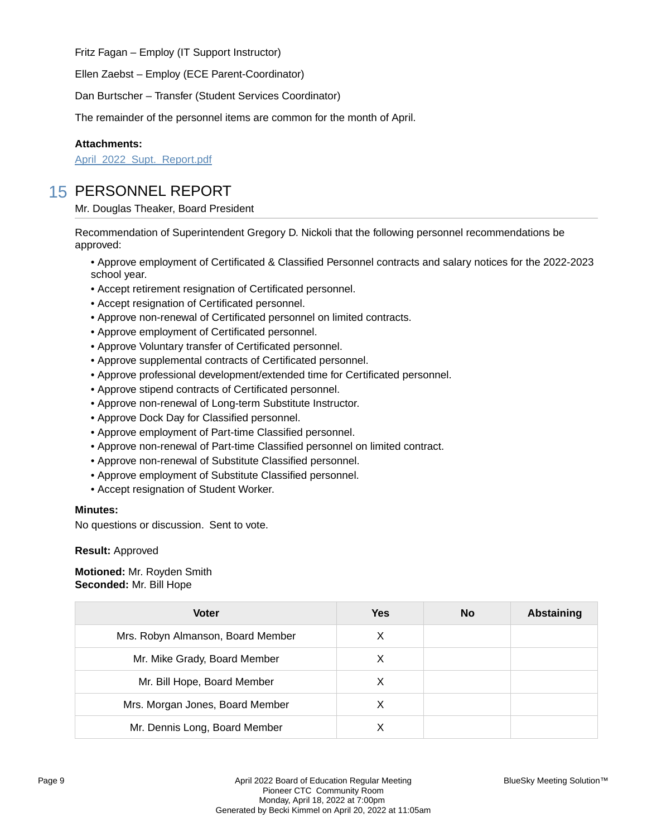Fritz Fagan – Employ (IT Support Instructor)

Ellen Zaebst – Employ (ECE Parent-Coordinator)

Dan Burtscher – Transfer (Student Services Coordinator)

The remainder of the personnel items are common for the month of April.

### **Attachments:**

April 2022 Supt. Report.pdf

## 15 PERSONNEL REPORT

Mr. Douglas Theaker, Board President

Recommendation of Superintendent Gregory D. Nickoli that the following personnel recommendations be approved:

• Approve employment of Certificated & Classified Personnel contracts and salary notices for the 2022-2023 school year.

- Accept retirement resignation of Certificated personnel.
- Accept resignation of Certificated personnel.
- Approve non-renewal of Certificated personnel on limited contracts.
- Approve employment of Certificated personnel.
- Approve Voluntary transfer of Certificated personnel.
- Approve supplemental contracts of Certificated personnel.
- Approve professional development/extended time for Certificated personnel.
- Approve stipend contracts of Certificated personnel.
- Approve non-renewal of Long-term Substitute Instructor.
- Approve Dock Day for Classified personnel.
- Approve employment of Part-time Classified personnel.
- Approve non-renewal of Part-time Classified personnel on limited contract.
- Approve non-renewal of Substitute Classified personnel.
- Approve employment of Substitute Classified personnel.
- Accept resignation of Student Worker.

### **Minutes:**

No questions or discussion. Sent to vote.

### **Result:** Approved

**Motioned:** Mr. Royden Smith **Seconded:** Mr. Bill Hope

| <b>Voter</b>                      | Yes | <b>No</b> | <b>Abstaining</b> |
|-----------------------------------|-----|-----------|-------------------|
| Mrs. Robyn Almanson, Board Member | X   |           |                   |
| Mr. Mike Grady, Board Member      | X   |           |                   |
| Mr. Bill Hope, Board Member       | X   |           |                   |
| Mrs. Morgan Jones, Board Member   | X   |           |                   |
| Mr. Dennis Long, Board Member     |     |           |                   |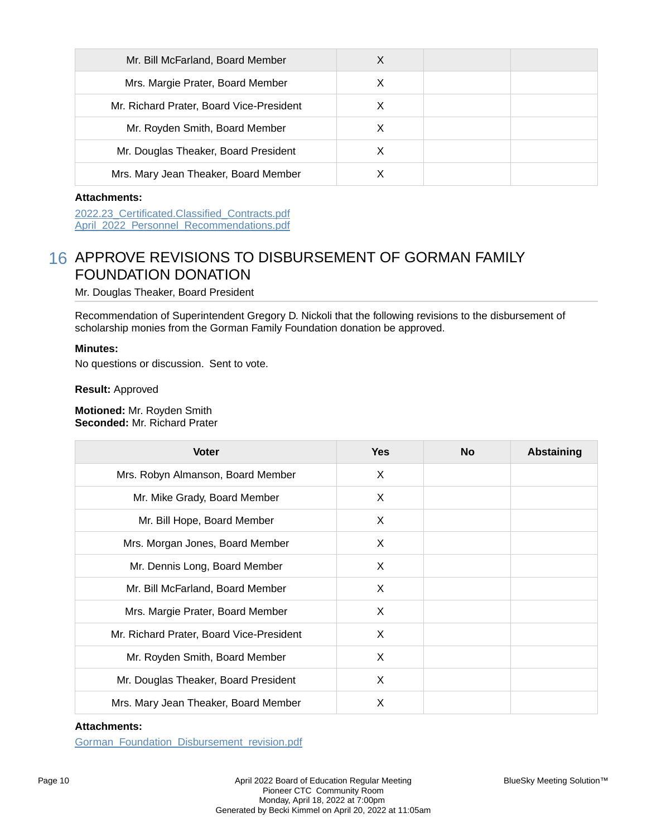| Mr. Bill McFarland, Board Member         | х |  |
|------------------------------------------|---|--|
| Mrs. Margie Prater, Board Member         | X |  |
| Mr. Richard Prater, Board Vice-President | X |  |
| Mr. Royden Smith, Board Member           | X |  |
| Mr. Douglas Theaker, Board President     |   |  |
| Mrs. Mary Jean Theaker, Board Member     |   |  |

### **Attachments:**

2022.23\_Certificated.Classified\_Contracts.pdf April 2022 Personnel Recommendations.pdf

## 16 APPROVE REVISIONS TO DISBURSEMENT OF GORMAN FAMILY FOUNDATION DONATION

Mr. Douglas Theaker, Board President

Recommendation of Superintendent Gregory D. Nickoli that the following revisions to the disbursement of scholarship monies from the Gorman Family Foundation donation be approved.

### **Minutes:**

No questions or discussion. Sent to vote.

**Result:** Approved

**Motioned:** Mr. Royden Smith **Seconded:** Mr. Richard Prater

| <b>Voter</b>                             | <b>Yes</b> | <b>No</b> | <b>Abstaining</b> |
|------------------------------------------|------------|-----------|-------------------|
| Mrs. Robyn Almanson, Board Member        | X          |           |                   |
| Mr. Mike Grady, Board Member             | X          |           |                   |
| Mr. Bill Hope, Board Member              | X          |           |                   |
| Mrs. Morgan Jones, Board Member          | X          |           |                   |
| Mr. Dennis Long, Board Member            | X          |           |                   |
| Mr. Bill McFarland, Board Member         | X          |           |                   |
| Mrs. Margie Prater, Board Member         | X          |           |                   |
| Mr. Richard Prater, Board Vice-President | X          |           |                   |
| Mr. Royden Smith, Board Member           | X          |           |                   |
| Mr. Douglas Theaker, Board President     | X          |           |                   |
| Mrs. Mary Jean Theaker, Board Member     | X          |           |                   |

### **Attachments:**

Gorman\_Foundation\_Disbursement\_revision.pdf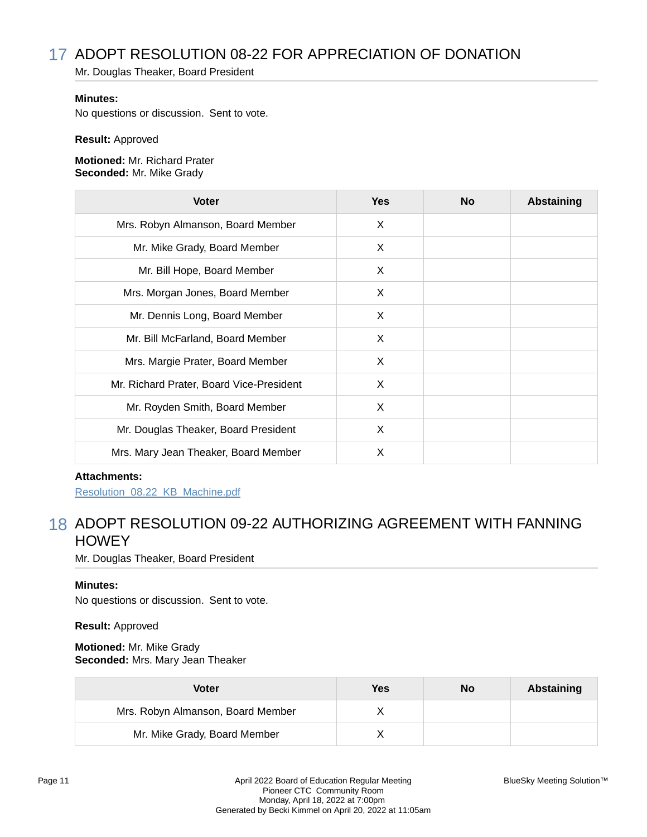# 17 ADOPT RESOLUTION 08-22 FOR APPRECIATION OF DONATION

Mr. Douglas Theaker, Board President

### **Minutes:**

No questions or discussion. Sent to vote.

#### **Result:** Approved

**Motioned:** Mr. Richard Prater **Seconded:** Mr. Mike Grady

| <b>Voter</b>                             | <b>Yes</b> | <b>No</b> | <b>Abstaining</b> |
|------------------------------------------|------------|-----------|-------------------|
| Mrs. Robyn Almanson, Board Member        | X          |           |                   |
| Mr. Mike Grady, Board Member             | X          |           |                   |
| Mr. Bill Hope, Board Member              | X          |           |                   |
| Mrs. Morgan Jones, Board Member          | X          |           |                   |
| Mr. Dennis Long, Board Member            | X          |           |                   |
| Mr. Bill McFarland, Board Member         | X          |           |                   |
| Mrs. Margie Prater, Board Member         | X          |           |                   |
| Mr. Richard Prater, Board Vice-President | X          |           |                   |
| Mr. Royden Smith, Board Member           | X          |           |                   |
| Mr. Douglas Theaker, Board President     | X          |           |                   |
| Mrs. Mary Jean Theaker, Board Member     | X          |           |                   |

### **Attachments:**

Resolution\_08.22\_KB\_Machine.pdf

# 18 ADOPT RESOLUTION 09-22 AUTHORIZING AGREEMENT WITH FANNING **HOWEY**

Mr. Douglas Theaker, Board President

### **Minutes:**

No questions or discussion. Sent to vote.

### **Result:** Approved

**Motioned:** Mr. Mike Grady **Seconded:** Mrs. Mary Jean Theaker

| <b>Voter</b>                      | Yes | No | Abstaining |
|-----------------------------------|-----|----|------------|
| Mrs. Robyn Almanson, Board Member |     |    |            |
| Mr. Mike Grady, Board Member      |     |    |            |